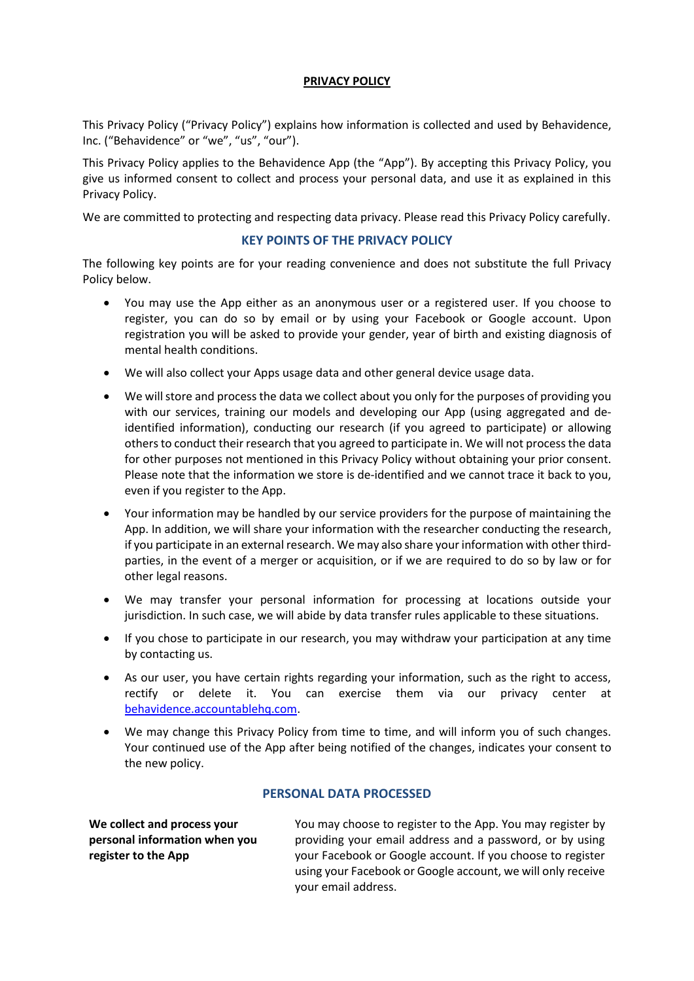## **PRIVACY POLICY**

This Privacy Policy ("Privacy Policy") explains how information is collected and used by Behavidence, Inc. ("Behavidence" or "we", "us", "our").

This Privacy Policy applies to the Behavidence App (the "App"). By accepting this Privacy Policy, you give us informed consent to collect and process your personal data, and use it as explained in this Privacy Policy.

We are committed to protecting and respecting data privacy. Please read this Privacy Policy carefully.

# **KEY POINTS OF THE PRIVACY POLICY**

The following key points are for your reading convenience and does not substitute the full Privacy Policy below.

- You may use the App either as an anonymous user or a registered user. If you choose to register, you can do so by email or by using your Facebook or Google account. Upon registration you will be asked to provide your gender, year of birth and existing diagnosis of mental health conditions.
- We will also collect your Apps usage data and other general device usage data.
- We will store and process the data we collect about you only for the purposes of providing you with our services, training our models and developing our App (using aggregated and deidentified information), conducting our research (if you agreed to participate) or allowing others to conduct their research that you agreed to participate in. We will not process the data for other purposes not mentioned in this Privacy Policy without obtaining your prior consent. Please note that the information we store is de-identified and we cannot trace it back to you, even if you register to the App.
- Your information may be handled by our service providers for the purpose of maintaining the App. In addition, we will share your information with the researcher conducting the research, if you participate in an external research. We may also share your information with other thirdparties, in the event of a merger or acquisition, or if we are required to do so by law or for other legal reasons.
- We may transfer your personal information for processing at locations outside your jurisdiction. In such case, we will abide by data transfer rules applicable to these situations.
- If you chose to participate in our research, you may withdraw your participation at any time by contacting us.
- As our user, you have certain rights regarding your information, such as the right to access, rectify or delete it. You can exercise them via our privacy center at [behavidence.accountablehq.com.](http://www.behavidence.accountablehq.com/)
- We may change this Privacy Policy from time to time, and will inform you of such changes. Your continued use of the App after being notified of the changes, indicates your consent to the new policy.

## **PERSONAL DATA PROCESSED**

**We collect and process your personal information when you register to the App**

You may choose to register to the App. You may register by providing your email address and a password, or by using your Facebook or Google account. If you choose to register using your Facebook or Google account, we will only receive your email address.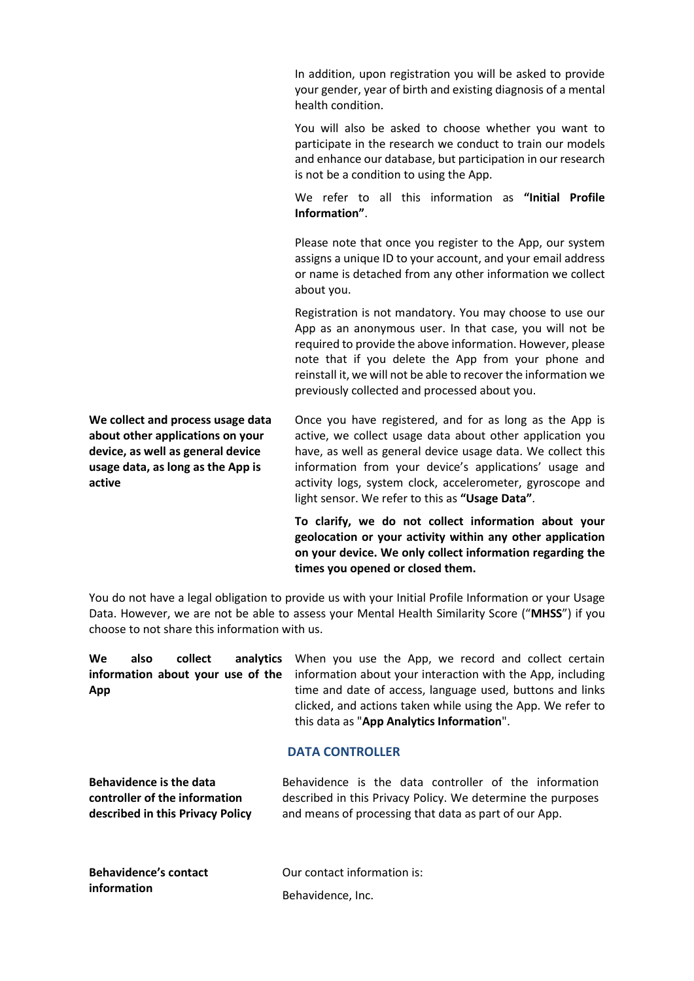In addition, upon registration you will be asked to provide your gender, year of birth and existing diagnosis of a mental health condition.

You will also be asked to choose whether you want to participate in the research we conduct to train our models and enhance our database, but participation in our research is not be a condition to using the App.

We refer to all this information as **"Initial Profile Information"**.

Please note that once you register to the App, our system assigns a unique ID to your account, and your email address or name is detached from any other information we collect about you.

Registration is not mandatory. You may choose to use our App as an anonymous user. In that case, you will not be required to provide the above information. However, please note that if you delete the App from your phone and reinstall it, we will not be able to recover the information we previously collected and processed about you.

**We collect and process usage data about other applications on your device, as well as general device usage data, as long as the App is active**

Once you have registered, and for as long as the App is active, we collect usage data about other application you have, as well as general device usage data. We collect this information from your device's applications' usage and activity logs, system clock, accelerometer, gyroscope and light sensor. We refer to this as **"Usage Data"**.

**To clarify, we do not collect information about your geolocation or your activity within any other application on your device. We only collect information regarding the times you opened or closed them.**

You do not have a legal obligation to provide us with your Initial Profile Information or your Usage Data. However, we are not be able to assess your Mental Health Similarity Score ("**MHSS**") if you choose to not share this information with us.

**We also collect analytics information about your use of the App** When you use the App, we record and collect certain information about your interaction with the App, including time and date of access, language used, buttons and links clicked, and actions taken while using the App. We refer to this data as "**App Analytics Information**".

# **DATA CONTROLLER**

| <b>Behavidence is the data</b>   | Behavidence is the data controller of the information       |
|----------------------------------|-------------------------------------------------------------|
| controller of the information    | described in this Privacy Policy. We determine the purposes |
| described in this Privacy Policy | and means of processing that data as part of our App.       |

| <b>Behavidence's contact</b> | Our contact information is: |
|------------------------------|-----------------------------|
| information                  | Behavidence, Inc.           |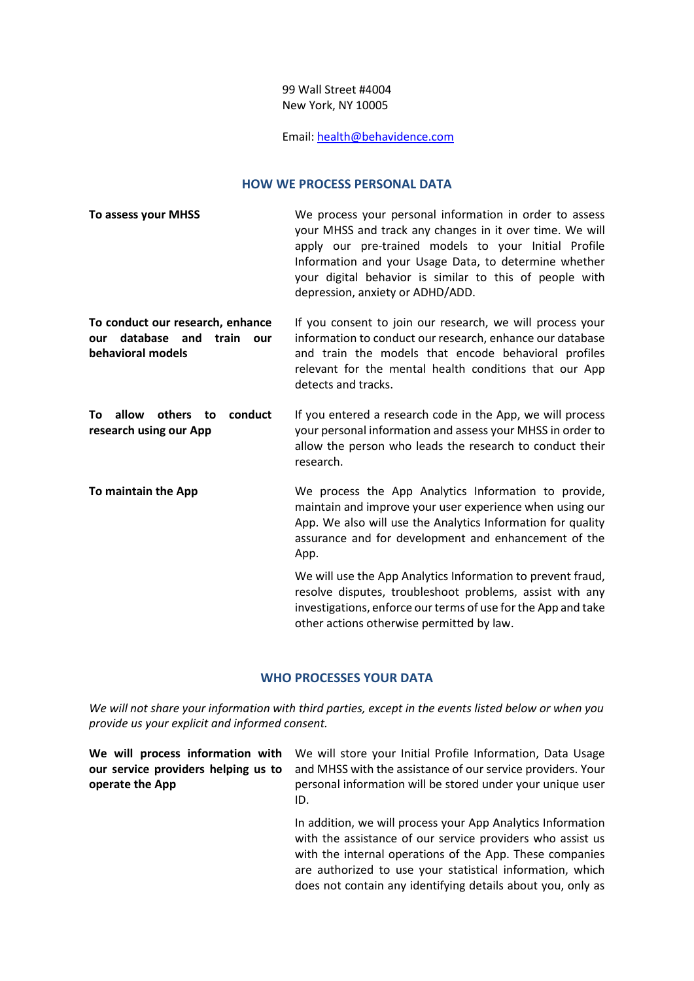# 99 Wall Street #4004 New York, NY 10005

# Email: [health@behavidence.com](mailto:health@behavidence.com)

#### **HOW WE PROCESS PERSONAL DATA**

| <b>To assess your MHSS</b>                                                                   | We process your personal information in order to assess<br>your MHSS and track any changes in it over time. We will<br>apply our pre-trained models to your Initial Profile<br>Information and your Usage Data, to determine whether<br>your digital behavior is similar to this of people with<br>depression, anxiety or ADHD/ADD. |
|----------------------------------------------------------------------------------------------|-------------------------------------------------------------------------------------------------------------------------------------------------------------------------------------------------------------------------------------------------------------------------------------------------------------------------------------|
| To conduct our research, enhance<br>database and<br>train<br>our<br>our<br>behavioral models | If you consent to join our research, we will process your<br>information to conduct our research, enhance our database<br>and train the models that encode behavioral profiles<br>relevant for the mental health conditions that our App<br>detects and tracks.                                                                     |
| allow<br>others to<br>conduct<br>To<br>research using our App                                | If you entered a research code in the App, we will process<br>your personal information and assess your MHSS in order to<br>allow the person who leads the research to conduct their<br>research.                                                                                                                                   |
| To maintain the App                                                                          | We process the App Analytics Information to provide,<br>maintain and improve your user experience when using our<br>App. We also will use the Analytics Information for quality<br>assurance and for development and enhancement of the<br>App.                                                                                     |
|                                                                                              | We will use the App Analytics Information to prevent fraud,<br>resolve disputes, troubleshoot problems, assist with any<br>investigations, enforce our terms of use for the App and take<br>other actions otherwise permitted by law.                                                                                               |

### **WHO PROCESSES YOUR DATA**

*We will not share your information with third parties, except in the events listed below or when you provide us your explicit and informed consent.* 

| operate the App | We will process information with We will store your Initial Profile Information, Data Usage<br>our service providers helping us to and MHSS with the assistance of our service providers. Your<br>personal information will be stored under your unique user<br>ID. |
|-----------------|---------------------------------------------------------------------------------------------------------------------------------------------------------------------------------------------------------------------------------------------------------------------|
|                 | In addition, we will process your App Analytics Information<br>with the assistance of our service providers who assist us<br>with the internal operations of the App. These companies                                                                               |

are authorized to use your statistical information, which does not contain any identifying details about you, only as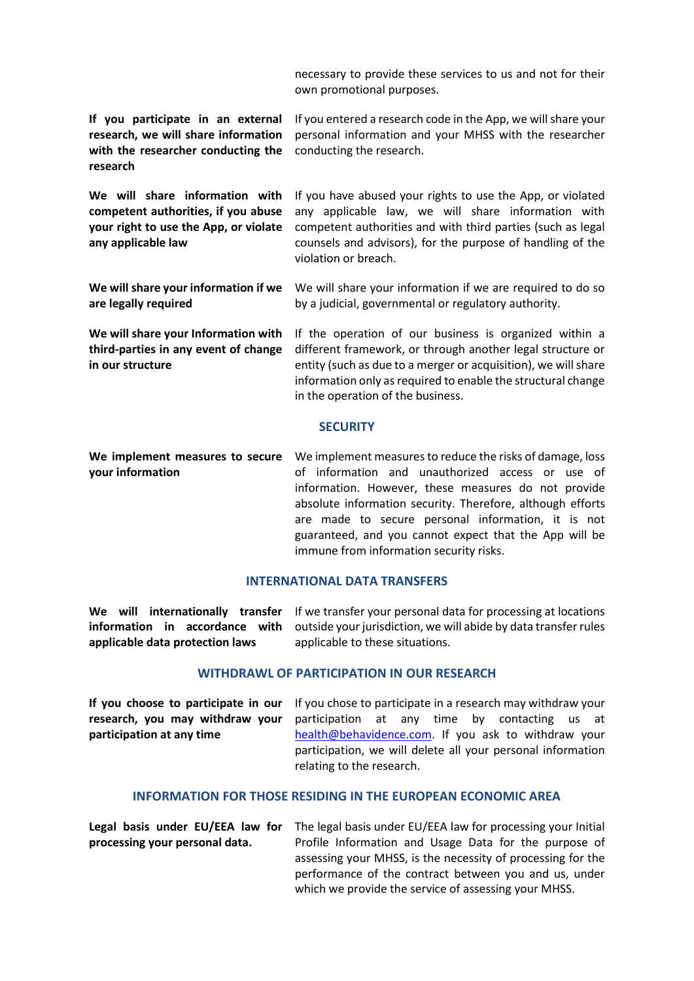| necessary to provide these services to us and not for their |  |  |  |
|-------------------------------------------------------------|--|--|--|
| own promotional purposes.                                   |  |  |  |

| If you participate in an external<br>research, we will share information<br>with the researcher conducting the<br>research           | If you entered a research code in the App, we will share your<br>personal information and your MHSS with the researcher<br>conducting the research.                                                                                                                                                                                                                                           |
|--------------------------------------------------------------------------------------------------------------------------------------|-----------------------------------------------------------------------------------------------------------------------------------------------------------------------------------------------------------------------------------------------------------------------------------------------------------------------------------------------------------------------------------------------|
| We will share information with<br>competent authorities, if you abuse<br>your right to use the App, or violate<br>any applicable law | If you have abused your rights to use the App, or violated<br>any applicable law, we will share information with<br>competent authorities and with third parties (such as legal<br>counsels and advisors), for the purpose of handling of the<br>violation or breach.                                                                                                                         |
| We will share your information if we<br>are legally required                                                                         | We will share your information if we are required to do so<br>by a judicial, governmental or regulatory authority.                                                                                                                                                                                                                                                                            |
| We will share your Information with<br>third-parties in any event of change<br>in our structure                                      | If the operation of our business is organized within a<br>different framework, or through another legal structure or<br>entity (such as due to a merger or acquisition), we will share<br>information only as required to enable the structural change<br>in the operation of the business.                                                                                                   |
|                                                                                                                                      | <b>SECURITY</b>                                                                                                                                                                                                                                                                                                                                                                               |
| We implement measures to secure<br>your information                                                                                  | We implement measures to reduce the risks of damage, loss<br>of information and unauthorized access or use of<br>information. However, these measures do not provide<br>absolute information security. Therefore, although efforts<br>are made to secure personal information, it is not<br>guaranteed, and you cannot expect that the App will be<br>immune from information security risks. |

### **INTERNATIONAL DATA TRANSFERS**

We will internationally transfer If we transfer your personal data for processing at locations **information in accordance with applicable data protection laws** outside your jurisdiction, we will abide by data transfer rules applicable to these situations.

#### **WITHDRAWL OF PARTICIPATION IN OUR RESEARCH**

**If you choose to participate in our research, you may withdraw your participation at any time** If you chose to participate in a research may withdraw your participation at any time by contacting us at [health@behavidence.com.](mailto:health@behavidence.com) If you ask to withdraw your participation, we will delete all your personal information relating to the research.

## **INFORMATION FOR THOSE RESIDING IN THE EUROPEAN ECONOMIC AREA**

**Legal basis under EU/EEA law for processing your personal data.** The legal basis under EU/EEA law for processing your Initial Profile Information and Usage Data for the purpose of assessing your MHSS, is the necessity of processing for the performance of the contract between you and us, under which we provide the service of assessing your MHSS.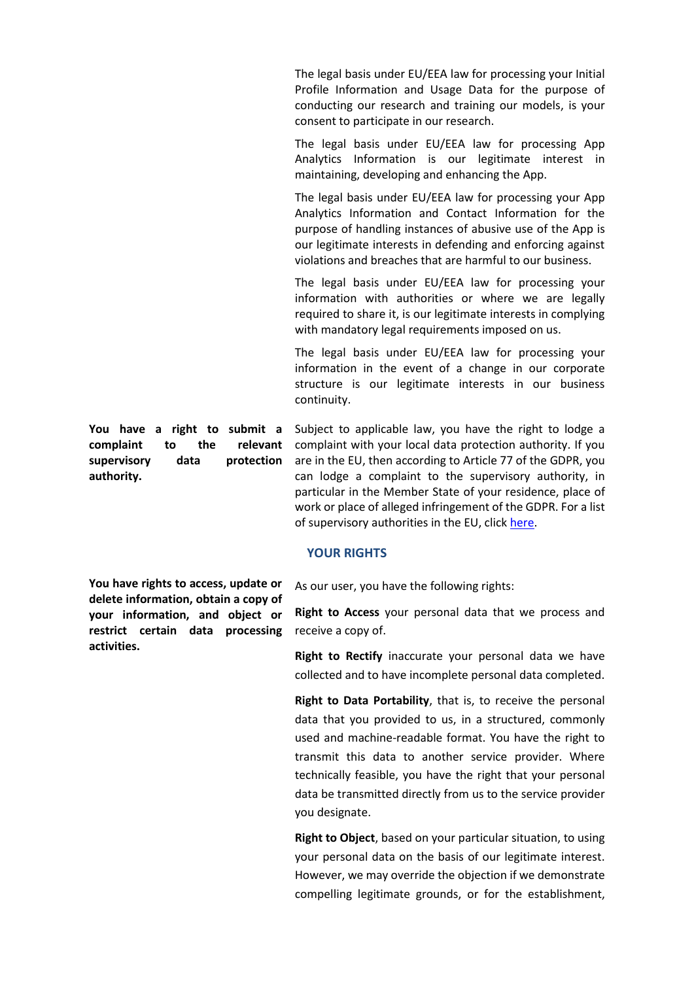The legal basis under EU/EEA law for processing your Initial Profile Information and Usage Data for the purpose of conducting our research and training our models, is your consent to participate in our research.

The legal basis under EU/EEA law for processing App Analytics Information is our legitimate interest in maintaining, developing and enhancing the App.

The legal basis under EU/EEA law for processing your App Analytics Information and Contact Information for the purpose of handling instances of abusive use of the App is our legitimate interests in defending and enforcing against violations and breaches that are harmful to our business.

The legal basis under EU/EEA law for processing your information with authorities or where we are legally required to share it, is our legitimate interests in complying with mandatory legal requirements imposed on us.

The legal basis under EU/EEA law for processing your information in the event of a change in our corporate structure is our legitimate interests in our business continuity.

Subject to applicable law, you have the right to lodge a complaint with your local data protection authority. If you are in the EU, then according to Article 77 of the GDPR, you can lodge a complaint to the supervisory authority, in particular in the Member State of your residence, place of work or place of alleged infringement of the GDPR. For a list of supervisory authorities in the EU, clic[k here.](http://ec.europa.eu/newsroom/article29/document.cfm?action=display&doc_id=50061)

### **YOUR RIGHTS**

As our user, you have the following rights:

**Right to Access** your personal data that we process and receive a copy of.

**Right to Rectify** inaccurate your personal data we have collected and to have incomplete personal data completed.

**Right to Data Portability**, that is, to receive the personal data that you provided to us, in a structured, commonly used and machine-readable format. You have the right to transmit this data to another service provider. Where technically feasible, you have the right that your personal data be transmitted directly from us to the service provider you designate.

**Right to Object**, based on your particular situation, to using your personal data on the basis of our legitimate interest. However, we may override the objection if we demonstrate compelling legitimate grounds, or for the establishment,

**You have a right to submit a complaint to the relevant supervisory data protection authority.**

**You have rights to access, update or delete information, obtain a copy of your information, and object or restrict certain data processing activities.**